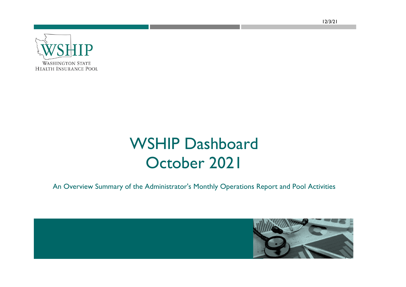12/3/21



## WSHIP Dashboard October 2021

An Overview Summary of the Administrator's Monthly Operations Report and Pool Activities

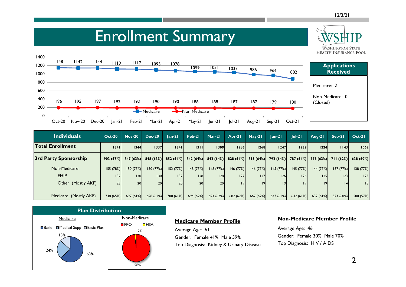**WASHINGTON STATE** 

### Enrollment Summary



| <b>Individuals</b>      | <b>Oct-20</b> | <b>Nov-20</b>        | <b>Dec-20</b>    | $lan-21$ | Feb-21               | Mar-21    | Apr-21                         | $May-21$  | $lun-2l$  | $ ul-2 $  | Aug-21    | $Sep-21$             | $Oct-21$  |
|-------------------------|---------------|----------------------|------------------|----------|----------------------|-----------|--------------------------------|-----------|-----------|-----------|-----------|----------------------|-----------|
| <b>Total Enrollment</b> | 1341          | 1344                 | 1337             | 1341     | 1311                 | 1309      | 1285                           | 1268      | 1247      | 1239      | 1224      | 1143                 | 1062      |
| 3rd Party Sponsorship   |               | $903(67%)$ 847 (63%) | 848(63%)         |          | $852(64%)$ 842 (64%) |           | $842(64%)$ 828 (64%) 813 (64%) |           | 792 (64%) | 787 (64%) |           | $776(63%)$ 711 (62%) | 638 (60%) |
| Non-Medicare            | 155(78%)      | 150(77%)             | 150 (77%)        | 152(77%) | 148 (77%)            | 148(77%)  | 146(77%)                       | 146 (77%) | 145 (77%) | 145 (77%) | 144 (77%) | 137 (77%)            | 138 (77%) |
| <b>EHIP</b>             | 132           | 130                  | 130 <sup>1</sup> | 132      | 28                   | 28        | 127                            | 27        | 126       | 26        | 125       | 23                   | 23        |
| Other (Mostly AKF)      | 23            | 20 <sub>l</sub>      | 20 <sup>1</sup>  | 20       | 20 <sup>1</sup>      | <b>20</b> | 9                              | 19        | 9         | 9         |           | 4                    | 15        |
|                         |               |                      |                  |          |                      |           |                                |           |           |           |           |                      |           |
| Medicare (Mostly AKF)   | 748 (65%)     | 697(61%)             | 698 (61%)        | 700(61%) | 694 (62%)            | 694 (62%) | 682 (62%)                      | 667 (62%) | 647 (61%) | 642 (61%) | 632(61%)  | 574 (60%)            | 500 (57%) |



#### **Medicare Member Profile**

Average Age: 61 Gender: Female 41% Male 59% Top Diagnosis: Kidney & Urinary Disease

#### **Non-Medicare Member Profile**

Average Age: 46 Gender: Female 30% Male 70% Top Diagnosis: HIV / AIDS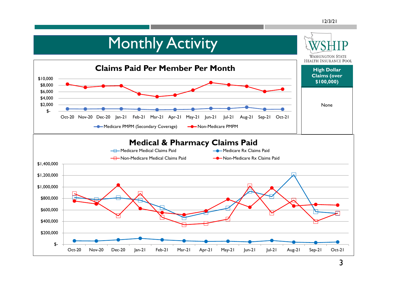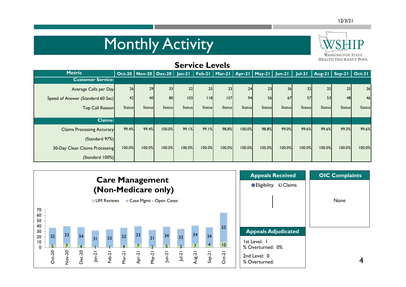# **Monthly Activity**



| <b>Service Levels</b>             |               |               |                            |               |               |               |                                                     |               |               |               |                         |               |                |
|-----------------------------------|---------------|---------------|----------------------------|---------------|---------------|---------------|-----------------------------------------------------|---------------|---------------|---------------|-------------------------|---------------|----------------|
| <b>Metric</b>                     |               |               | $Oct-20$   Nov-20   Dec-20 |               |               |               | Jan-21   Feb-21   Mar-21   Apr-21   May-21   Jun-21 |               |               | $ ul-2 $      | $\vert$ Aug-21   Sep-21 |               | $\vert$ Oct-21 |
| <b>Customer Service:</b>          |               |               |                            |               |               |               |                                                     |               |               |               |                         |               |                |
| Average Calls per Day             | 26            | 29            | 33                         | 32            | 25            | 23            | 24                                                  | 23            | 36            | 32            | 25                      | 25            | 36             |
| Speed of Answer (Standard 60 Sec) | 42            | <b>40</b>     | 80                         | 103           | $ $ $ $ 8     | 157           | 94                                                  | 56            | 67            | 57            | 53                      | 48            | 46             |
| Top Call Reason                   | <b>Status</b> | <b>Status</b> | <b>Status</b>              | <b>Status</b> | <b>Status</b> | <b>Status</b> | <b>Status</b>                                       | <b>Status</b> | <b>Status</b> | <b>Status</b> | <b>Status</b>           | <b>Status</b> | <b>Status</b>  |
| <b>Claims:</b>                    |               |               |                            |               |               |               |                                                     |               |               |               |                         |               |                |
| <b>Claims Processing Accuracy</b> | 99.4%         | 99.4%         | 100.0%                     | 99.1%         | 99.1%         | 98.8%         | 100.0%                                              | 98.8%         | 99.0%         | 99.6%         | 99.6%                   | 99.3%         | 99.6%          |
| (Standard 97%)                    |               |               |                            |               |               |               |                                                     |               |               |               |                         |               |                |
| 30-Day Clean Claims Processing    | 100.0%        | 100.0%        | 100.0%                     | 100.0%        | 100.0%        | 100.0%        | 100.0%                                              | 100.0%        | 100.0%        | 100.0%        | 100.0%                  | 100.0%        | 100.0%         |
| (Standard 100%)                   |               |               |                            |               |               |               |                                                     |               |               |               |                         |               |                |